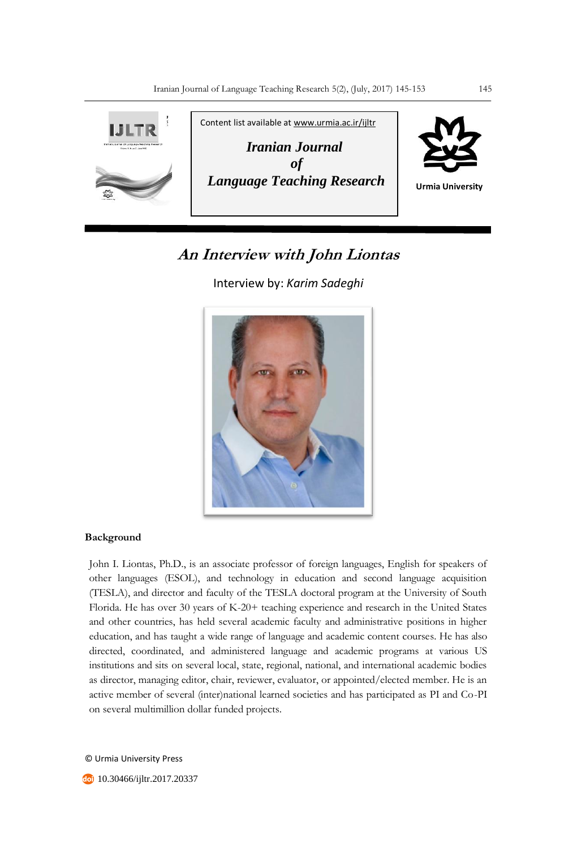

## **An Interview with John Liontas**

Interview by: *Karim Sadeghi*



## **Background**

John I. Liontas, Ph.D., is an associate professor of foreign languages, English for speakers of other languages (ESOL), and technology in education and second language acquisition (TESLA), and director and faculty of the TESLA doctoral program at the University of South Florida. He has over 30 years of K-20+ teaching experience and research in the United States and other countries, has held several academic faculty and administrative positions in higher education, and has taught a wide range of language and academic content courses. He has also directed, coordinated, and administered language and academic programs at various US institutions and sits on several local, state, regional, national, and international academic bodies as director, managing editor, chair, reviewer, evaluator, or appointed/elected member. He is an active member of several (inter)national learned societies and has participated as PI and Co-PI on several multimillion dollar funded projects.

© Urmia University Press

**10.30466/ijltr.2017.20337**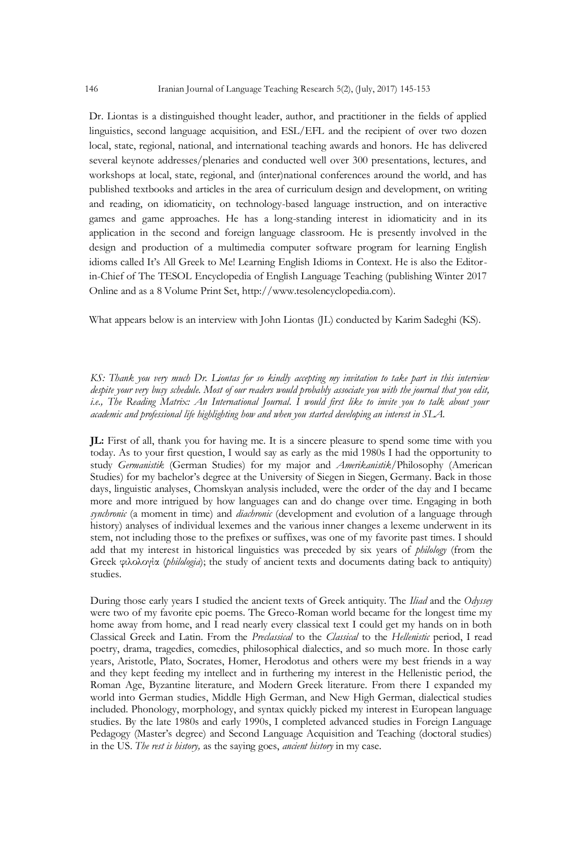Dr. Liontas is a distinguished thought leader, author, and practitioner in the fields of applied linguistics, second language acquisition, and ESL/EFL and the recipient of over two dozen local, state, regional, national, and international teaching awards and honors. He has delivered several keynote addresses/plenaries and conducted well over 300 presentations, lectures, and workshops at local, state, regional, and (inter)national conferences around the world, and has published textbooks and articles in the area of curriculum design and development, on writing and reading, on idiomaticity, on technology-based language instruction, and on interactive games and game approaches. He has a long-standing interest in idiomaticity and in its application in the second and foreign language classroom. He is presently involved in the design and production of a multimedia computer software program for learning English idioms called It's All Greek to Me! Learning English Idioms in Context. He is also the Editorin-Chief of The TESOL Encyclopedia of English Language Teaching (publishing Winter 2017 Online and as a 8 Volume Print Set, http://www.tesolencyclopedia.com).

What appears below is an interview with John Liontas (JL) conducted by Karim Sadeghi (KS).

*KS: Thank you very much Dr. Liontas for so kindly accepting my invitation to take part in this interview despite your very busy schedule. Most of our readers would probably associate you with the journal that you edit, i.e., The Reading Matrix: An International Journal. I would first like to invite you to talk about your academic and professional life highlighting how and when you started developing an interest in SLA.*

**JL:** First of all, thank you for having me. It is a sincere pleasure to spend some time with you today. As to your first question, I would say as early as the mid 1980s I had the opportunity to study *Germanistik* (German Studies) for my major and *Amerikanistik*/Philosophy (American Studies) for my bachelor's degree at the University of Siegen in Siegen, Germany. Back in those days, linguistic analyses, Chomskyan analysis included, were the order of the day and I became more and more intrigued by how languages can and do change over time. Engaging in both *synchronic* (a moment in time) and *diachronic* (development and evolution of a language through history) analyses of individual lexemes and the various inner changes a lexeme underwent in its stem, not including those to the prefixes or suffixes, was one of my favorite past times. I should add that my interest in historical linguistics was preceded by six years of *philology* (from the Greek φιλολογία (*philologia*); the study of ancient texts and documents dating back to antiquity) studies.

During those early years I studied the ancient texts of Greek antiquity. The *Iliad* and the *Odyssey* were two of my favorite epic poems. The Greco-Roman world became for the longest time my home away from home, and I read nearly every classical text I could get my hands on in both Classical Greek and Latin. From the *Preclassical* to the *Classical* to the *Hellenistic* period, I read poetry, drama, tragedies, comedies, philosophical dialectics, and so much more. In those early years, Aristotle, Plato, Socrates, Homer, Herodotus and others were my best friends in a way and they kept feeding my intellect and in furthering my interest in the Hellenistic period, the Roman Age, Byzantine literature, and Modern Greek literature. From there I expanded my world into German studies, Middle High German, and New High German, dialectical studies included. Phonology, morphology, and syntax quickly picked my interest in European language studies. By the late 1980s and early 1990s, I completed advanced studies in Foreign Language Pedagogy (Master's degree) and Second Language Acquisition and Teaching (doctoral studies) in the US. *The rest is history,* as the saying goes, *ancient history* in my case.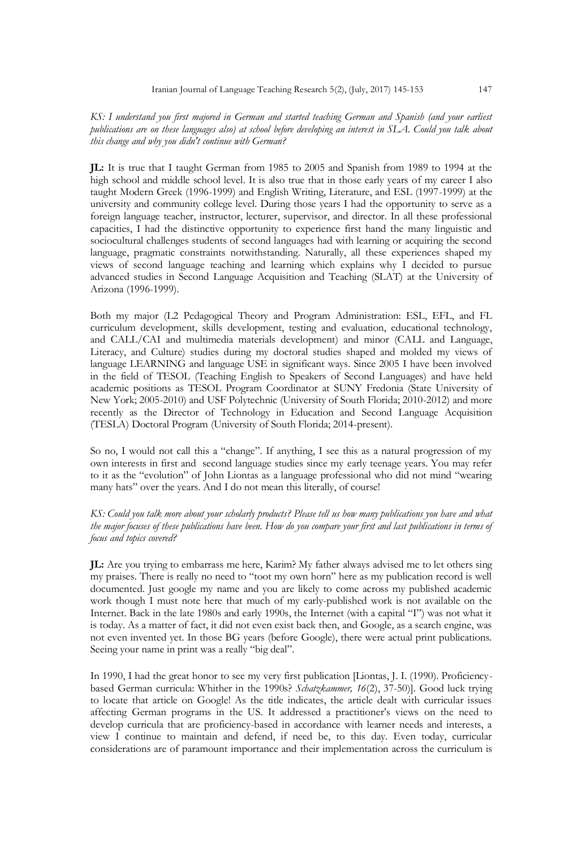*KS: I understand you first majored in German and started teaching German and Spanish (and your earliest publications are on these languages also) at school before developing an interest in SLA. Could you talk about this change and why you didn't continue with German?*

**JL:** It is true that I taught German from 1985 to 2005 and Spanish from 1989 to 1994 at the high school and middle school level. It is also true that in those early years of my career I also taught Modern Greek (1996-1999) and English Writing, Literature, and ESL (1997-1999) at the university and community college level. During those years I had the opportunity to serve as a foreign language teacher, instructor, lecturer, supervisor, and director. In all these professional capacities, I had the distinctive opportunity to experience first hand the many linguistic and sociocultural challenges students of second languages had with learning or acquiring the second language, pragmatic constraints notwithstanding. Naturally, all these experiences shaped my views of second language teaching and learning which explains why I decided to pursue advanced studies in Second Language Acquisition and Teaching (SLAT) at the University of Arizona (1996-1999).

Both my major (L2 Pedagogical Theory and Program Administration: ESL, EFL, and FL curriculum development, skills development, testing and evaluation, educational technology, and CALL/CAI and multimedia materials development) and minor (CALL and Language, Literacy, and Culture) studies during my doctoral studies shaped and molded my views of language LEARNING and language USE in significant ways. Since 2005 I have been involved in the field of TESOL (Teaching English to Speakers of Second Languages) and have held academic positions as TESOL Program Coordinator at SUNY Fredonia (State University of New York; 2005-2010) and USF Polytechnic (University of South Florida; 2010-2012) and more recently as the Director of Technology in Education and Second Language Acquisition (TESLA) Doctoral Program (University of South Florida; 2014-present).

So no, I would not call this a "change". If anything, I see this as a natural progression of my own interests in first and second language studies since my early teenage years. You may refer to it as the "evolution" of John Liontas as a language professional who did not mind "wearing many hats" over the years. And I do not mean this literally, of course!

*KS: Could you talk more about your scholarly products? Please tell us how many publications you have and what the major focuses of these publications have been. How do you compare your first and last publications in terms of focus and topics covered?* 

**JL:** Are you trying to embarrass me here, Karim? My father always advised me to let others sing my praises. There is really no need to "toot my own horn" here as my publication record is well documented. Just google my name and you are likely to come across my published academic work though I must note here that much of my early-published work is not available on the Internet. Back in the late 1980s and early 1990s, the Internet (with a capital "I") was not what it is today. As a matter of fact, it did not even exist back then, and Google, as a search engine, was not even invented yet. In those BG years (before Google), there were actual print publications. Seeing your name in print was a really "big deal".

In 1990, I had the great honor to see my very first publication [Liontas, J. I. (1990). Proficiencybased German curricula: Whither in the 1990s? *Schatzkammer, 16*(2), 37-50)]. Good luck trying to locate that article on Google! As the title indicates, the article dealt with curricular issues affecting German programs in the US. It addressed a practitioner's views on the need to develop curricula that are proficiency-based in accordance with learner needs and interests, a view I continue to maintain and defend, if need be, to this day. Even today, curricular considerations are of paramount importance and their implementation across the curriculum is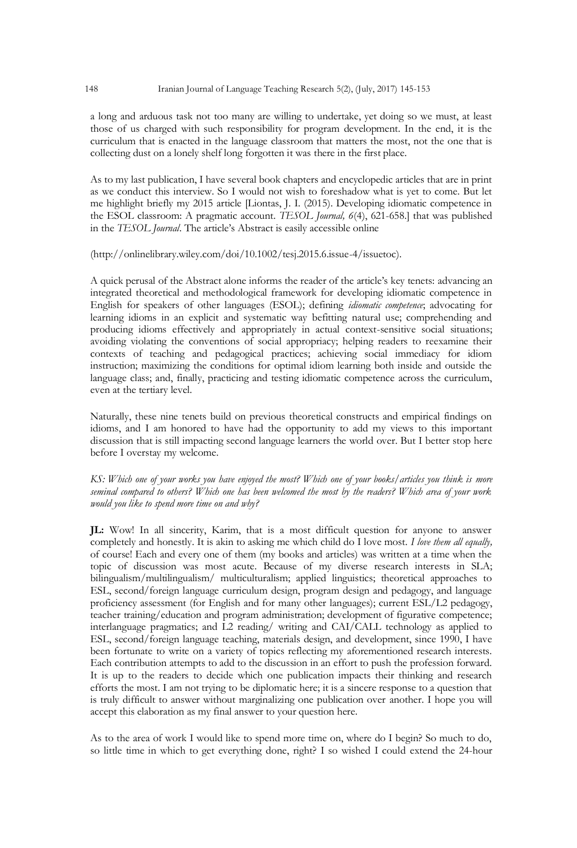a long and arduous task not too many are willing to undertake, yet doing so we must, at least those of us charged with such responsibility for program development. In the end, it is the curriculum that is enacted in the language classroom that matters the most, not the one that is collecting dust on a lonely shelf long forgotten it was there in the first place.

As to my last publication, I have several book chapters and encyclopedic articles that are in print as we conduct this interview. So I would not wish to foreshadow what is yet to come. But let me highlight briefly my 2015 article [Liontas, J. I. (2015). Developing idiomatic competence in the ESOL classroom: A pragmatic account. *TESOL Journal, 6*(4), 621-658.] that was published in the *TESOL Journal*. The article's Abstract is easily accessible online

## (http://onlinelibrary.wiley.com/doi/10.1002/tesj.2015.6.issue-4/issuetoc).

A quick perusal of the Abstract alone informs the reader of the article's key tenets: advancing an integrated theoretical and methodological framework for developing idiomatic competence in English for speakers of other languages (ESOL); defining *idiomatic competence*; advocating for learning idioms in an explicit and systematic way befitting natural use; comprehending and producing idioms effectively and appropriately in actual context-sensitive social situations; avoiding violating the conventions of social appropriacy; helping readers to reexamine their contexts of teaching and pedagogical practices; achieving social immediacy for idiom instruction; maximizing the conditions for optimal idiom learning both inside and outside the language class; and, finally, practicing and testing idiomatic competence across the curriculum, even at the tertiary level.

Naturally, these nine tenets build on previous theoretical constructs and empirical findings on idioms, and I am honored to have had the opportunity to add my views to this important discussion that is still impacting second language learners the world over. But I better stop here before I overstay my welcome.

*KS: Which one of your works you have enjoyed the most? Which one of your books/articles you think is more seminal compared to others? Which one has been welcomed the most by the readers? Which area of your work would you like to spend more time on and why?*

**JL:** Wow! In all sincerity, Karim, that is a most difficult question for anyone to answer completely and honestly. It is akin to asking me which child do I love most. *I love them all equally,* of course! Each and every one of them (my books and articles) was written at a time when the topic of discussion was most acute. Because of my diverse research interests in SLA; bilingualism/multilingualism/ multiculturalism; applied linguistics; theoretical approaches to ESL, second/foreign language curriculum design, program design and pedagogy, and language proficiency assessment (for English and for many other languages); current ESL/L2 pedagogy, teacher training/education and program administration; development of figurative competence; interlanguage pragmatics; and L2 reading/ writing and CAI/CALL technology as applied to ESL, second/foreign language teaching, materials design, and development, since 1990, I have been fortunate to write on a variety of topics reflecting my aforementioned research interests. Each contribution attempts to add to the discussion in an effort to push the profession forward. It is up to the readers to decide which one publication impacts their thinking and research efforts the most. I am not trying to be diplomatic here; it is a sincere response to a question that is truly difficult to answer without marginalizing one publication over another. I hope you will accept this elaboration as my final answer to your question here.

As to the area of work I would like to spend more time on, where do I begin? So much to do, so little time in which to get everything done, right? I so wished I could extend the 24-hour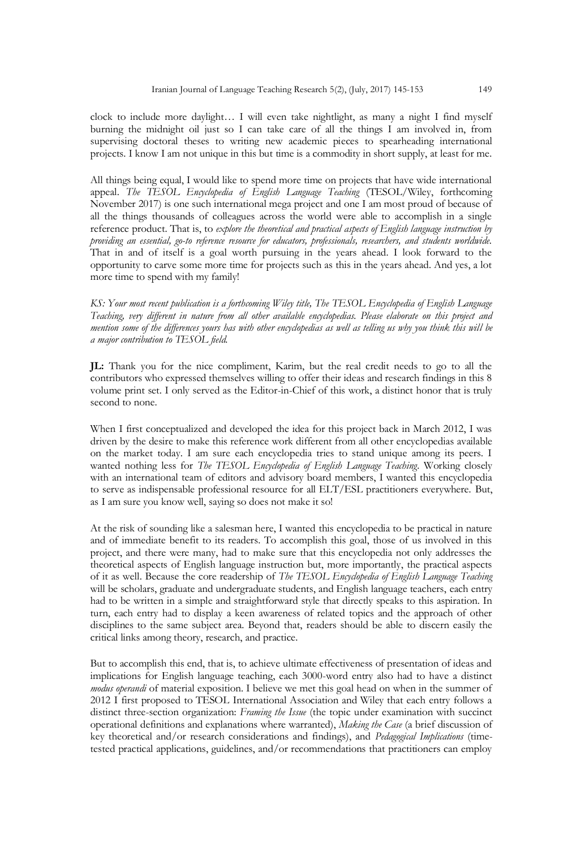clock to include more daylight… I will even take nightlight, as many a night I find myself burning the midnight oil just so I can take care of all the things I am involved in, from supervising doctoral theses to writing new academic pieces to spearheading international projects. I know I am not unique in this but time is a commodity in short supply, at least for me.

All things being equal, I would like to spend more time on projects that have wide international appeal. *The TESOL Encyclopedia of English Language Teaching* (TESOL/Wiley, forthcoming November 2017) is one such international mega project and one I am most proud of because of all the things thousands of colleagues across the world were able to accomplish in a single reference product. That is, to *explore the theoretical and practical aspects of English language instruction by providing an essential, go-to reference resource for educators, professionals, researchers, and students worldwide.* That in and of itself is a goal worth pursuing in the years ahead. I look forward to the opportunity to carve some more time for projects such as this in the years ahead. And yes, a lot more time to spend with my family!

*KS: Your most recent publication is a forthcoming Wiley title, The TESOL Encyclopedia of English Language Teaching, very different in nature from all other available encyclopedias. Please elaborate on this project and mention some of the differences yours has with other encyclopedias as well as telling us why you think this will be a major contribution to TESOL field.*

**JL:** Thank you for the nice compliment, Karim, but the real credit needs to go to all the contributors who expressed themselves willing to offer their ideas and research findings in this 8 volume print set. I only served as the Editor-in-Chief of this work, a distinct honor that is truly second to none.

When I first conceptualized and developed the idea for this project back in March 2012, I was driven by the desire to make this reference work different from all other encyclopedias available on the market today. I am sure each encyclopedia tries to stand unique among its peers. I wanted nothing less for *The TESOL Encyclopedia of English Language Teaching*. Working closely with an international team of editors and advisory board members, I wanted this encyclopedia to serve as indispensable professional resource for all ELT/ESL practitioners everywhere. But, as I am sure you know well, saying so does not make it so!

At the risk of sounding like a salesman here, I wanted this encyclopedia to be practical in nature and of immediate benefit to its readers. To accomplish this goal, those of us involved in this project, and there were many, had to make sure that this encyclopedia not only addresses the theoretical aspects of English language instruction but, more importantly, the practical aspects of it as well. Because the core readership of *The TESOL Encyclopedia of English Language Teaching* will be scholars, graduate and undergraduate students, and English language teachers, each entry had to be written in a simple and straightforward style that directly speaks to this aspiration. In turn, each entry had to display a keen awareness of related topics and the approach of other disciplines to the same subject area. Beyond that, readers should be able to discern easily the critical links among theory, research, and practice.

But to accomplish this end, that is, to achieve ultimate effectiveness of presentation of ideas and implications for English language teaching, each 3000-word entry also had to have a distinct *modus operandi* of material exposition. I believe we met this goal head on when in the summer of 2012 I first proposed to TESOL International Association and Wiley that each entry follows a distinct three-section organization: *Framing the Issue* (the topic under examination with succinct operational definitions and explanations where warranted), *Making the Case* (a brief discussion of key theoretical and/or research considerations and findings), and *Pedagogical Implications* (timetested practical applications, guidelines, and/or recommendations that practitioners can employ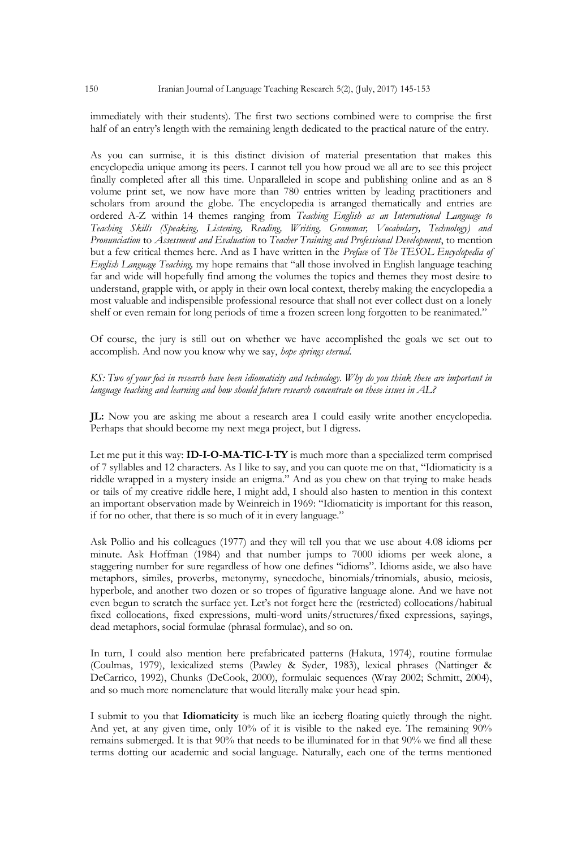immediately with their students). The first two sections combined were to comprise the first half of an entry's length with the remaining length dedicated to the practical nature of the entry.

As you can surmise, it is this distinct division of material presentation that makes this encyclopedia unique among its peers. I cannot tell you how proud we all are to see this project finally completed after all this time. Unparalleled in scope and publishing online and as an 8 volume print set, we now have more than 780 entries written by leading practitioners and scholars from around the globe. The encyclopedia is arranged thematically and entries are ordered A-Z within 14 themes ranging from *Teaching English as an International Language to Teaching Skills (Speaking, Listening, Reading, Writing, Grammar, Vocabulary, Technology) and Pronunciation* to *Assessment and Evaluation* to *Teacher Training and Professional Development*, to mention but a few critical themes here. And as I have written in the *Preface* of *The TESOL Encyclopedia of English Language Teaching,* my hope remains that "all those involved in English language teaching far and wide will hopefully find among the volumes the topics and themes they most desire to understand, grapple with, or apply in their own local context, thereby making the encyclopedia a most valuable and indispensible professional resource that shall not ever collect dust on a lonely shelf or even remain for long periods of time a frozen screen long forgotten to be reanimated."

Of course, the jury is still out on whether we have accomplished the goals we set out to accomplish. And now you know why we say, *hope springs eternal.*

*KS: Two of your foci in research have been idiomaticity and technology. Why do you think these are important in language teaching and learning and how should future research concentrate on these issues in AL?*

**JL:** Now you are asking me about a research area I could easily write another encyclopedia. Perhaps that should become my next mega project, but I digress.

Let me put it this way: **ID-I-O-MA-TIC-I-TY** is much more than a specialized term comprised of 7 syllables and 12 characters. As I like to say, and you can quote me on that, "Idiomaticity is a riddle wrapped in a mystery inside an enigma." And as you chew on that trying to make heads or tails of my creative riddle here, I might add, I should also hasten to mention in this context an important observation made by Weinreich in 1969: "Idiomaticity is important for this reason, if for no other, that there is so much of it in every language."

Ask Pollio and his colleagues (1977) and they will tell you that we use about 4.08 idioms per minute. Ask Hoffman (1984) and that number jumps to 7000 idioms per week alone, a staggering number for sure regardless of how one defines "idioms". Idioms aside, we also have metaphors, similes, proverbs, metonymy, synecdoche, binomials/trinomials, abusio, meiosis, hyperbole, and another two dozen or so tropes of figurative language alone. And we have not even begun to scratch the surface yet. Let's not forget here the (restricted) collocations/habitual fixed collocations, fixed expressions, multi-word units/structures/fixed expressions, sayings, dead metaphors, social formulae (phrasal formulae), and so on.

In turn, I could also mention here prefabricated patterns (Hakuta, 1974), routine formulae (Coulmas, 1979), lexicalized stems (Pawley & Syder, 1983), lexical phrases (Nattinger & DeCarrico, 1992), Chunks (DeCook, 2000), formulaic sequences (Wray 2002; Schmitt, 2004), and so much more nomenclature that would literally make your head spin.

I submit to you that **Idiomaticity** is much like an iceberg floating quietly through the night. And yet, at any given time, only 10% of it is visible to the naked eye. The remaining 90% remains submerged. It is that 90% that needs to be illuminated for in that 90% we find all these terms dotting our academic and social language. Naturally, each one of the terms mentioned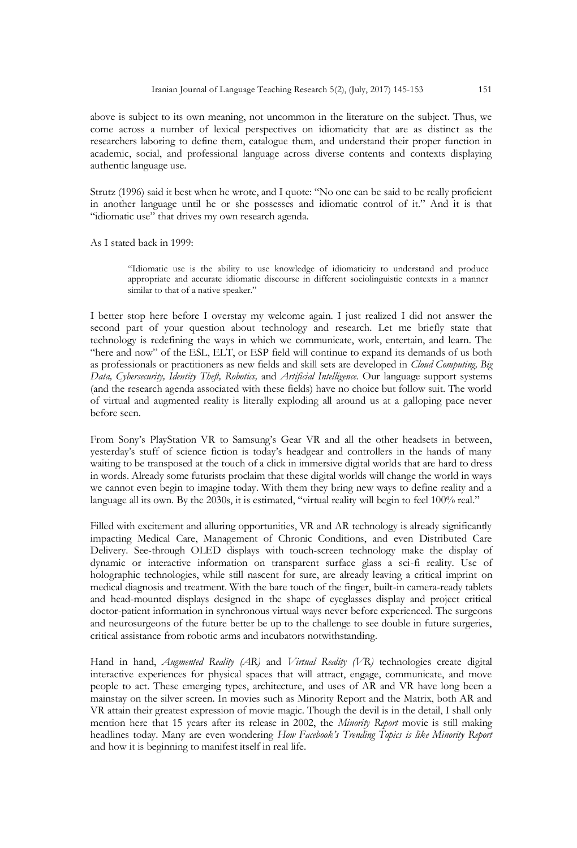above is subject to its own meaning, not uncommon in the literature on the subject. Thus, we come across a number of lexical perspectives on idiomaticity that are as distinct as the researchers laboring to define them, catalogue them, and understand their proper function in academic, social, and professional language across diverse contents and contexts displaying authentic language use.

Strutz (1996) said it best when he wrote, and I quote: "No one can be said to be really proficient in another language until he or she possesses and idiomatic control of it." And it is that "idiomatic use" that drives my own research agenda.

As I stated back in 1999:

"Idiomatic use is the ability to use knowledge of idiomaticity to understand and produce appropriate and accurate idiomatic discourse in different sociolinguistic contexts in a manner similar to that of a native speaker."

I better stop here before I overstay my welcome again. I just realized I did not answer the second part of your question about technology and research. Let me briefly state that technology is redefining the ways in which we communicate, work, entertain, and learn. The "here and now" of the ESL, ELT, or ESP field will continue to expand its demands of us both as professionals or practitioners as new fields and skill sets are developed in *Cloud Computing, Big Data, Cybersecurity, Identity Theft, Robotics,* and *Artificial Intelligence.* Our language support systems (and the research agenda associated with these fields) have no choice but follow suit. The world of virtual and augmented reality is literally exploding all around us at a galloping pace never before seen.

From Sony's PlayStation VR to Samsung's Gear VR and all the other headsets in between, yesterday's stuff of science fiction is today's headgear and controllers in the hands of many waiting to be transposed at the touch of a click in immersive digital worlds that are hard to dress in words. Already some futurists proclaim that these digital worlds will change the world in ways we cannot even begin to imagine today. With them they bring new ways to define reality and a language all its own. By the 2030s, it is estimated, "virtual reality will begin to feel 100% real."

Filled with excitement and alluring opportunities, VR and AR technology is already significantly impacting Medical Care, Management of Chronic Conditions, and even Distributed Care Delivery. See-through OLED displays with touch-screen technology make the display of dynamic or interactive information on transparent surface glass a sci-fi reality. Use of holographic technologies, while still nascent for sure, are already leaving a critical imprint on medical diagnosis and treatment. With the bare touch of the finger, built-in camera-ready tablets and head-mounted displays designed in the shape of eyeglasses display and project critical doctor-patient information in synchronous virtual ways never before experienced. The surgeons and neurosurgeons of the future better be up to the challenge to see double in future surgeries, critical assistance from robotic arms and incubators notwithstanding.

Hand in hand, *Augmented Reality (AR)* and *Virtual Reality (VR)* technologies create digital interactive experiences for physical spaces that will attract, engage, communicate, and move people to act. These emerging types, architecture, and uses of AR and VR have long been a mainstay on the silver screen. In movies such as Minority Report and the Matrix, both AR and VR attain their greatest expression of movie magic. Though the devil is in the detail, I shall only mention here that 15 years after its release in 2002, the *Minority Report* movie is still making headlines today. Many are even wondering *How Facebook's Trending Topics is like Minority Report* and how it is beginning to manifest itself in real life.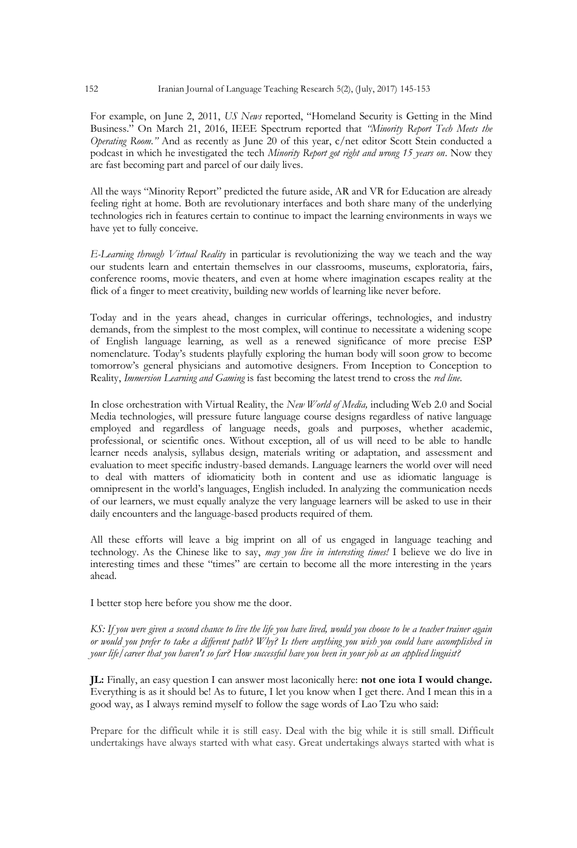For example, on June 2, 2011, *US News* reported, "Homeland Security is Getting in the Mind Business." On March 21, 2016, IEEE Spectrum reported that *"Minority Report Tech Meets the Operating Room."* And as recently as June 20 of this year, c/net editor Scott Stein conducted a podcast in which he investigated the tech *Minority Report got right and wrong 15 years on*. Now they are fast becoming part and parcel of our daily lives.

All the ways "Minority Report" predicted the future aside, AR and VR for Education are already feeling right at home. Both are revolutionary interfaces and both share many of the underlying technologies rich in features certain to continue to impact the learning environments in ways we have yet to fully conceive.

*E-Learning through Virtual Reality* in particular is revolutionizing the way we teach and the way our students learn and entertain themselves in our classrooms, museums, exploratoria, fairs, conference rooms, movie theaters, and even at home where imagination escapes reality at the flick of a finger to meet creativity, building new worlds of learning like never before.

Today and in the years ahead, changes in curricular offerings, technologies, and industry demands, from the simplest to the most complex, will continue to necessitate a widening scope of English language learning, as well as a renewed significance of more precise ESP nomenclature. Today's students playfully exploring the human body will soon grow to become tomorrow's general physicians and automotive designers. From Inception to Conception to Reality, *Immersion Learning and Gaming* is fast becoming the latest trend to cross the *red line.*

In close orchestration with Virtual Reality, the *New World of Media,* including Web 2.0 and Social Media technologies, will pressure future language course designs regardless of native language employed and regardless of language needs, goals and purposes, whether academic, professional, or scientific ones. Without exception, all of us will need to be able to handle learner needs analysis, syllabus design, materials writing or adaptation, and assessment and evaluation to meet specific industry-based demands. Language learners the world over will need to deal with matters of idiomaticity both in content and use as idiomatic language is omnipresent in the world's languages, English included. In analyzing the communication needs of our learners, we must equally analyze the very language learners will be asked to use in their daily encounters and the language-based products required of them.

All these efforts will leave a big imprint on all of us engaged in language teaching and technology. As the Chinese like to say, *may you live in interesting times!* I believe we do live in interesting times and these "times" are certain to become all the more interesting in the years ahead.

I better stop here before you show me the door.

*KS: If you were given a second chance to live the life you have lived, would you choose to be a teacher trainer again or would you prefer to take a different path? Why? Is there anything you wish you could have accomplished in your life/career that you haven't so far? How successful have you been in your job as an applied linguist?* 

**JL:** Finally, an easy question I can answer most laconically here: **not one iota I would change.** Everything is as it should be! As to future, I let you know when I get there. And I mean this in a good way, as I always remind myself to follow the sage words of Lao Tzu who said:

Prepare for the difficult while it is still easy. Deal with the big while it is still small. Difficult undertakings have always started with what easy. Great undertakings always started with what is